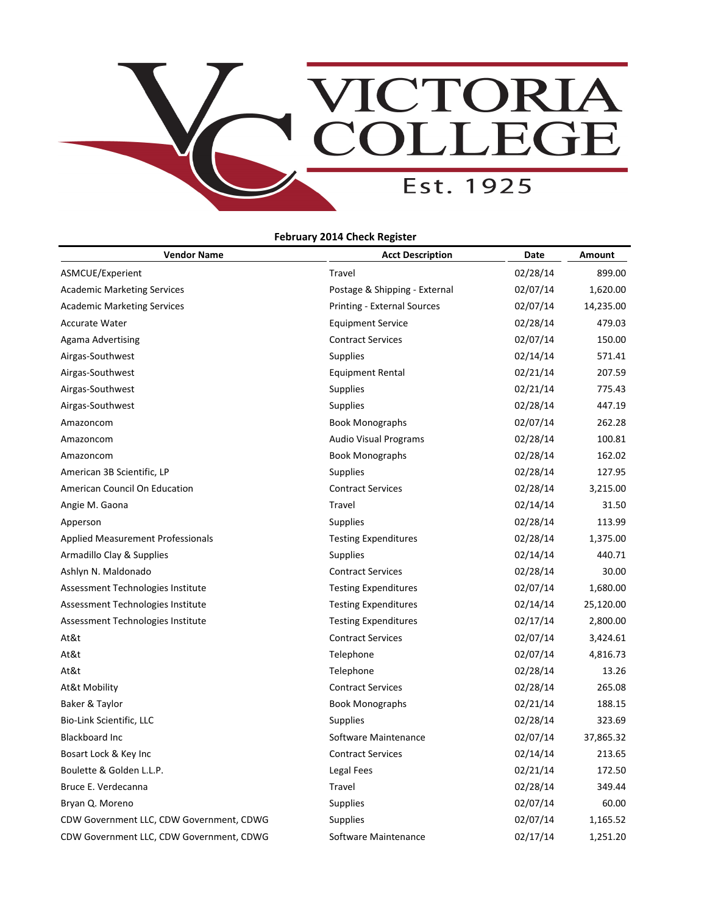

| <b>Vendor Name</b>                       | <b>Acct Description</b>            | Date     | <b>Amount</b> |
|------------------------------------------|------------------------------------|----------|---------------|
| ASMCUE/Experient                         | Travel                             | 02/28/14 | 899.00        |
| <b>Academic Marketing Services</b>       | Postage & Shipping - External      | 02/07/14 | 1,620.00      |
| <b>Academic Marketing Services</b>       | <b>Printing - External Sources</b> | 02/07/14 | 14,235.00     |
| <b>Accurate Water</b>                    | <b>Equipment Service</b>           | 02/28/14 | 479.03        |
| <b>Agama Advertising</b>                 | <b>Contract Services</b>           | 02/07/14 | 150.00        |
| Airgas-Southwest                         | <b>Supplies</b>                    | 02/14/14 | 571.41        |
| Airgas-Southwest                         | <b>Equipment Rental</b>            | 02/21/14 | 207.59        |
| Airgas-Southwest                         | <b>Supplies</b>                    | 02/21/14 | 775.43        |
| Airgas-Southwest                         | <b>Supplies</b>                    | 02/28/14 | 447.19        |
| Amazoncom                                | <b>Book Monographs</b>             | 02/07/14 | 262.28        |
| Amazoncom                                | <b>Audio Visual Programs</b>       | 02/28/14 | 100.81        |
| Amazoncom                                | <b>Book Monographs</b>             | 02/28/14 | 162.02        |
| American 3B Scientific, LP               | Supplies                           | 02/28/14 | 127.95        |
| American Council On Education            | <b>Contract Services</b>           | 02/28/14 | 3,215.00      |
| Angie M. Gaona                           | Travel                             | 02/14/14 | 31.50         |
| Apperson                                 | <b>Supplies</b>                    | 02/28/14 | 113.99        |
| <b>Applied Measurement Professionals</b> | <b>Testing Expenditures</b>        | 02/28/14 | 1,375.00      |
| Armadillo Clay & Supplies                | <b>Supplies</b>                    | 02/14/14 | 440.71        |
| Ashlyn N. Maldonado                      | <b>Contract Services</b>           | 02/28/14 | 30.00         |
| Assessment Technologies Institute        | <b>Testing Expenditures</b>        | 02/07/14 | 1,680.00      |
| Assessment Technologies Institute        | <b>Testing Expenditures</b>        | 02/14/14 | 25,120.00     |
| Assessment Technologies Institute        | <b>Testing Expenditures</b>        | 02/17/14 | 2,800.00      |
| At&t                                     | <b>Contract Services</b>           | 02/07/14 | 3,424.61      |
| At&t                                     | Telephone                          | 02/07/14 | 4,816.73      |
| At&t                                     | Telephone                          | 02/28/14 | 13.26         |
| At&t Mobility                            | <b>Contract Services</b>           | 02/28/14 | 265.08        |
| Baker & Taylor                           | <b>Book Monographs</b>             | 02/21/14 | 188.15        |
| Bio-Link Scientific, LLC                 | <b>Supplies</b>                    | 02/28/14 | 323.69        |
| <b>Blackboard Inc</b>                    | Software Maintenance               | 02/07/14 | 37,865.32     |
| Bosart Lock & Key Inc                    | <b>Contract Services</b>           | 02/14/14 | 213.65        |
| Boulette & Golden L.L.P.                 | Legal Fees                         | 02/21/14 | 172.50        |
| Bruce E. Verdecanna                      | Travel                             | 02/28/14 | 349.44        |
| Bryan Q. Moreno                          | <b>Supplies</b>                    | 02/07/14 | 60.00         |
| CDW Government LLC, CDW Government, CDWG | <b>Supplies</b>                    | 02/07/14 | 1,165.52      |
| CDW Government LLC, CDW Government, CDWG | Software Maintenance               | 02/17/14 | 1,251.20      |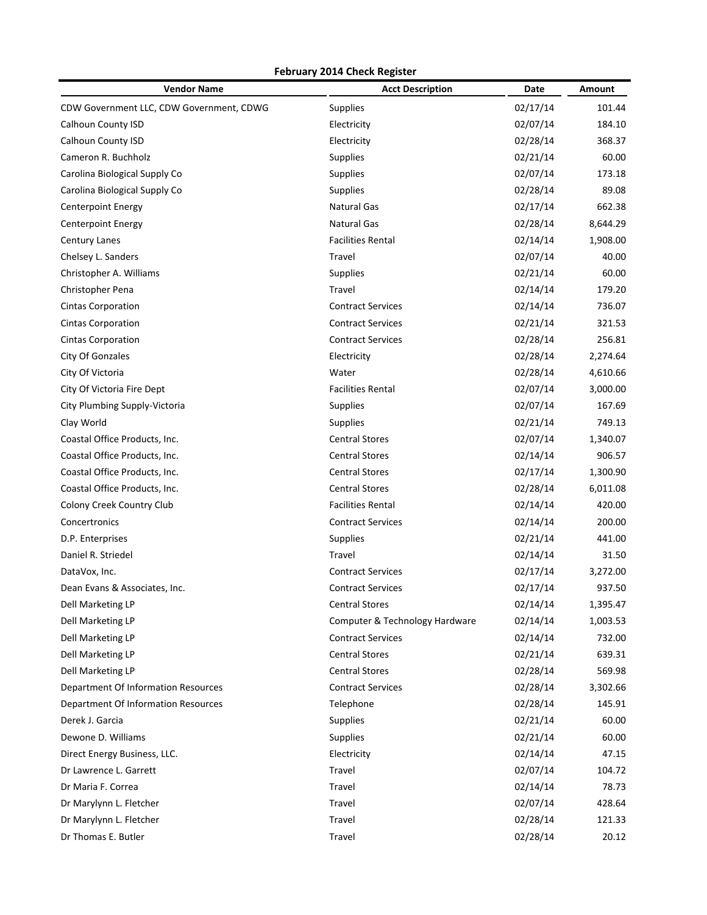| <b>Vendor Name</b>                       | <b>Acct Description</b>        | Date     | <b>Amount</b> |
|------------------------------------------|--------------------------------|----------|---------------|
| CDW Government LLC, CDW Government, CDWG | Supplies                       | 02/17/14 | 101.44        |
| Calhoun County ISD                       | Electricity                    | 02/07/14 | 184.10        |
| Calhoun County ISD                       | Electricity                    | 02/28/14 | 368.37        |
| Cameron R. Buchholz                      | Supplies                       | 02/21/14 | 60.00         |
| Carolina Biological Supply Co            | Supplies                       | 02/07/14 | 173.18        |
| Carolina Biological Supply Co            | Supplies                       | 02/28/14 | 89.08         |
| <b>Centerpoint Energy</b>                | <b>Natural Gas</b>             | 02/17/14 | 662.38        |
| <b>Centerpoint Energy</b>                | <b>Natural Gas</b>             | 02/28/14 | 8,644.29      |
| <b>Century Lanes</b>                     | <b>Facilities Rental</b>       | 02/14/14 | 1,908.00      |
| Chelsey L. Sanders                       | Travel                         | 02/07/14 | 40.00         |
| Christopher A. Williams                  | Supplies                       | 02/21/14 | 60.00         |
| Christopher Pena                         | Travel                         | 02/14/14 | 179.20        |
| <b>Cintas Corporation</b>                | <b>Contract Services</b>       | 02/14/14 | 736.07        |
| <b>Cintas Corporation</b>                | <b>Contract Services</b>       | 02/21/14 | 321.53        |
| <b>Cintas Corporation</b>                | <b>Contract Services</b>       | 02/28/14 | 256.81        |
| City Of Gonzales                         | Electricity                    | 02/28/14 | 2,274.64      |
| City Of Victoria                         | Water                          | 02/28/14 | 4,610.66      |
| City Of Victoria Fire Dept               | <b>Facilities Rental</b>       | 02/07/14 | 3,000.00      |
| City Plumbing Supply-Victoria            | <b>Supplies</b>                | 02/07/14 | 167.69        |
| Clay World                               | <b>Supplies</b>                | 02/21/14 | 749.13        |
| Coastal Office Products, Inc.            | <b>Central Stores</b>          | 02/07/14 | 1,340.07      |
| Coastal Office Products, Inc.            | <b>Central Stores</b>          | 02/14/14 | 906.57        |
| Coastal Office Products, Inc.            | <b>Central Stores</b>          | 02/17/14 | 1,300.90      |
| Coastal Office Products, Inc.            | <b>Central Stores</b>          | 02/28/14 | 6,011.08      |
| Colony Creek Country Club                | <b>Facilities Rental</b>       | 02/14/14 | 420.00        |
| Concertronics                            | <b>Contract Services</b>       | 02/14/14 | 200.00        |
| D.P. Enterprises                         | Supplies                       | 02/21/14 | 441.00        |
| Daniel R. Striedel                       | Travel                         | 02/14/14 | 31.50         |
| DataVox, Inc.                            | <b>Contract Services</b>       | 02/17/14 | 3,272.00      |
| Dean Evans & Associates, Inc.            | <b>Contract Services</b>       | 02/17/14 | 937.50        |
| Dell Marketing LP                        | <b>Central Stores</b>          | 02/14/14 | 1,395.47      |
| Dell Marketing LP                        | Computer & Technology Hardware | 02/14/14 | 1,003.53      |
| Dell Marketing LP                        | <b>Contract Services</b>       | 02/14/14 | 732.00        |
| Dell Marketing LP                        | <b>Central Stores</b>          | 02/21/14 | 639.31        |
| Dell Marketing LP                        | <b>Central Stores</b>          | 02/28/14 | 569.98        |
| Department Of Information Resources      | <b>Contract Services</b>       | 02/28/14 | 3,302.66      |
| Department Of Information Resources      | Telephone                      | 02/28/14 | 145.91        |
| Derek J. Garcia                          | Supplies                       | 02/21/14 | 60.00         |
| Dewone D. Williams                       | Supplies                       | 02/21/14 | 60.00         |
| Direct Energy Business, LLC.             | Electricity                    | 02/14/14 | 47.15         |
| Dr Lawrence L. Garrett                   | Travel                         | 02/07/14 | 104.72        |
| Dr Maria F. Correa                       | Travel                         | 02/14/14 | 78.73         |
| Dr Marylynn L. Fletcher                  | Travel                         | 02/07/14 | 428.64        |
|                                          |                                |          |               |
| Dr Marylynn L. Fletcher                  | Travel                         | 02/28/14 | 121.33        |
| Dr Thomas E. Butler                      | Travel                         | 02/28/14 | 20.12         |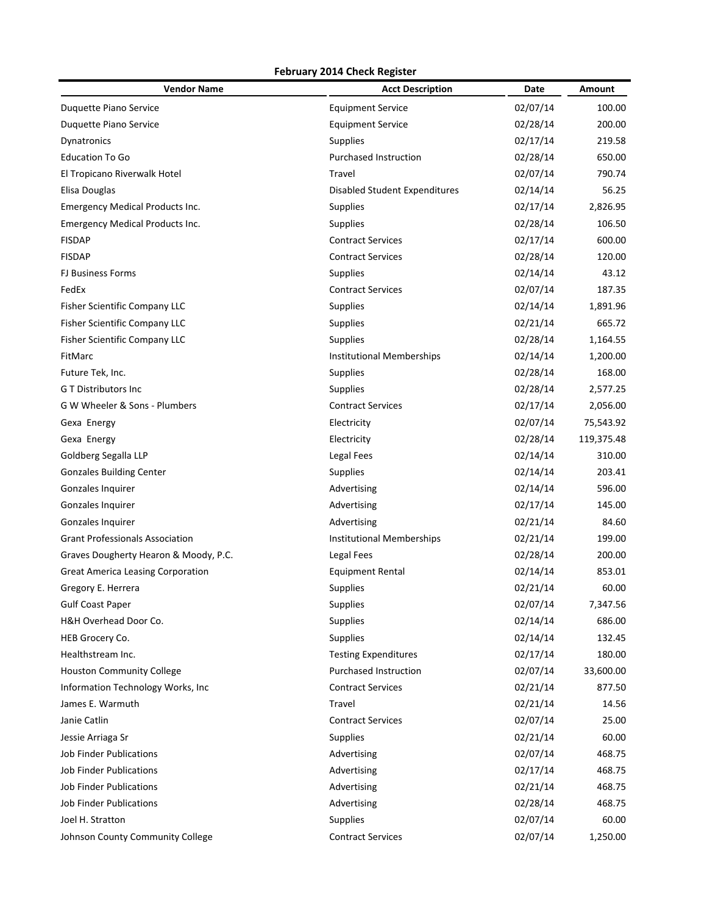| <b>Vendor Name</b>                       | <b>Acct Description</b>              | Date     | Amount     |
|------------------------------------------|--------------------------------------|----------|------------|
| Duquette Piano Service                   | <b>Equipment Service</b>             | 02/07/14 | 100.00     |
| Duquette Piano Service                   | <b>Equipment Service</b>             | 02/28/14 | 200.00     |
| Dynatronics                              | <b>Supplies</b>                      | 02/17/14 | 219.58     |
| <b>Education To Go</b>                   | <b>Purchased Instruction</b>         | 02/28/14 | 650.00     |
| El Tropicano Riverwalk Hotel             | Travel                               | 02/07/14 | 790.74     |
| Elisa Douglas                            | <b>Disabled Student Expenditures</b> | 02/14/14 | 56.25      |
| <b>Emergency Medical Products Inc.</b>   | <b>Supplies</b>                      | 02/17/14 | 2,826.95   |
| <b>Emergency Medical Products Inc.</b>   | <b>Supplies</b>                      | 02/28/14 | 106.50     |
| <b>FISDAP</b>                            | <b>Contract Services</b>             | 02/17/14 | 600.00     |
| <b>FISDAP</b>                            | <b>Contract Services</b>             | 02/28/14 | 120.00     |
| <b>FJ Business Forms</b>                 | <b>Supplies</b>                      | 02/14/14 | 43.12      |
| FedEx                                    | <b>Contract Services</b>             | 02/07/14 | 187.35     |
| Fisher Scientific Company LLC            | <b>Supplies</b>                      | 02/14/14 | 1,891.96   |
| Fisher Scientific Company LLC            | <b>Supplies</b>                      | 02/21/14 | 665.72     |
| Fisher Scientific Company LLC            | Supplies                             | 02/28/14 | 1,164.55   |
| FitMarc                                  | <b>Institutional Memberships</b>     | 02/14/14 | 1,200.00   |
| Future Tek, Inc.                         | <b>Supplies</b>                      | 02/28/14 | 168.00     |
| <b>GT Distributors Inc</b>               | <b>Supplies</b>                      | 02/28/14 | 2,577.25   |
| G W Wheeler & Sons - Plumbers            | <b>Contract Services</b>             | 02/17/14 | 2,056.00   |
| Gexa Energy                              | Electricity                          | 02/07/14 | 75,543.92  |
| Gexa Energy                              | Electricity                          | 02/28/14 | 119,375.48 |
| Goldberg Segalla LLP                     | Legal Fees                           | 02/14/14 | 310.00     |
| <b>Gonzales Building Center</b>          | <b>Supplies</b>                      | 02/14/14 | 203.41     |
| Gonzales Inquirer                        | Advertising                          | 02/14/14 | 596.00     |
| Gonzales Inquirer                        | Advertising                          | 02/17/14 | 145.00     |
| Gonzales Inquirer                        | Advertising                          | 02/21/14 | 84.60      |
| <b>Grant Professionals Association</b>   | Institutional Memberships            | 02/21/14 | 199.00     |
| Graves Dougherty Hearon & Moody, P.C.    | Legal Fees                           | 02/28/14 | 200.00     |
| <b>Great America Leasing Corporation</b> | <b>Equipment Rental</b>              | 02/14/14 | 853.01     |
| Gregory E. Herrera                       | <b>Supplies</b>                      | 02/21/14 | 60.00      |
| <b>Gulf Coast Paper</b>                  | <b>Supplies</b>                      | 02/07/14 | 7,347.56   |
| H&H Overhead Door Co.                    | <b>Supplies</b>                      | 02/14/14 | 686.00     |
| HEB Grocery Co.                          | <b>Supplies</b>                      | 02/14/14 | 132.45     |
| Healthstream Inc.                        | <b>Testing Expenditures</b>          | 02/17/14 | 180.00     |
| <b>Houston Community College</b>         | <b>Purchased Instruction</b>         | 02/07/14 | 33,600.00  |
| Information Technology Works, Inc        | <b>Contract Services</b>             | 02/21/14 | 877.50     |
| James E. Warmuth                         | Travel                               | 02/21/14 | 14.56      |
| Janie Catlin                             | <b>Contract Services</b>             | 02/07/14 | 25.00      |
| Jessie Arriaga Sr                        | <b>Supplies</b>                      | 02/21/14 | 60.00      |
| Job Finder Publications                  | Advertising                          | 02/07/14 | 468.75     |
| Job Finder Publications                  | Advertising                          | 02/17/14 | 468.75     |
| Job Finder Publications                  | Advertising                          | 02/21/14 | 468.75     |
| <b>Job Finder Publications</b>           | Advertising                          | 02/28/14 | 468.75     |
| Joel H. Stratton                         | <b>Supplies</b>                      | 02/07/14 | 60.00      |
| Johnson County Community College         | <b>Contract Services</b>             | 02/07/14 | 1,250.00   |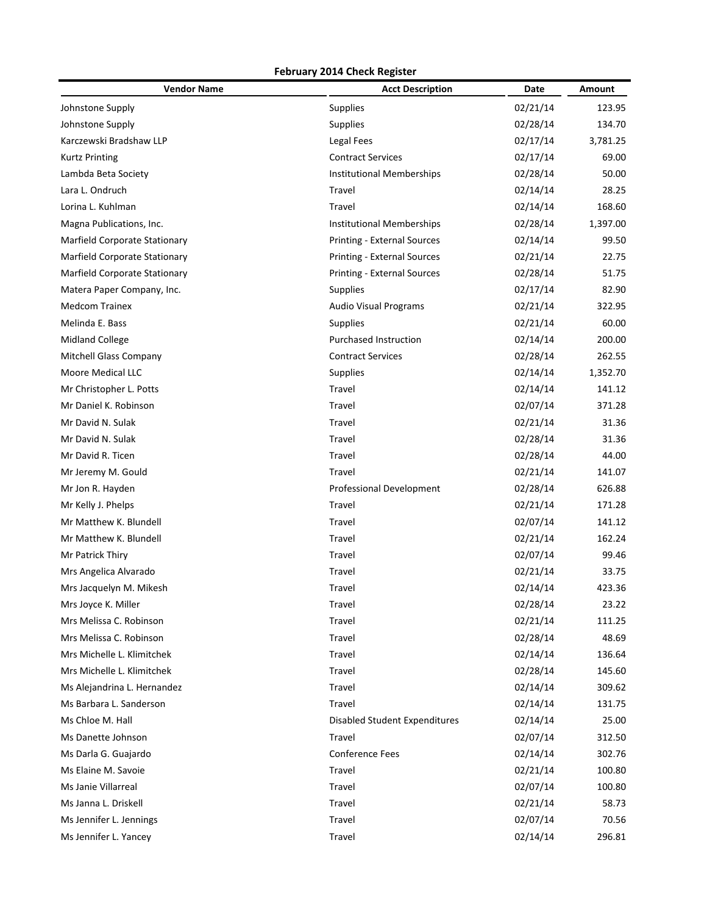| <b>Vendor Name</b>            | <b>Acct Description</b>          | Date     | Amount   |
|-------------------------------|----------------------------------|----------|----------|
| Johnstone Supply              | Supplies                         | 02/21/14 | 123.95   |
| Johnstone Supply              | Supplies                         | 02/28/14 | 134.70   |
| Karczewski Bradshaw LLP       | Legal Fees                       | 02/17/14 | 3,781.25 |
| <b>Kurtz Printing</b>         | <b>Contract Services</b>         | 02/17/14 | 69.00    |
| Lambda Beta Society           | <b>Institutional Memberships</b> | 02/28/14 | 50.00    |
| Lara L. Ondruch               | Travel                           | 02/14/14 | 28.25    |
| Lorina L. Kuhlman             | Travel                           | 02/14/14 | 168.60   |
| Magna Publications, Inc.      | <b>Institutional Memberships</b> | 02/28/14 | 1,397.00 |
| Marfield Corporate Stationary | Printing - External Sources      | 02/14/14 | 99.50    |
| Marfield Corporate Stationary | Printing - External Sources      | 02/21/14 | 22.75    |
| Marfield Corporate Stationary | Printing - External Sources      | 02/28/14 | 51.75    |
| Matera Paper Company, Inc.    | Supplies                         | 02/17/14 | 82.90    |
| <b>Medcom Trainex</b>         | <b>Audio Visual Programs</b>     | 02/21/14 | 322.95   |
| Melinda E. Bass               | Supplies                         | 02/21/14 | 60.00    |
| <b>Midland College</b>        | <b>Purchased Instruction</b>     | 02/14/14 | 200.00   |
| Mitchell Glass Company        | <b>Contract Services</b>         | 02/28/14 | 262.55   |
| Moore Medical LLC             | Supplies                         | 02/14/14 | 1,352.70 |
| Mr Christopher L. Potts       | Travel                           | 02/14/14 | 141.12   |
| Mr Daniel K. Robinson         | Travel                           | 02/07/14 | 371.28   |
| Mr David N. Sulak             | Travel                           | 02/21/14 | 31.36    |
| Mr David N. Sulak             | Travel                           | 02/28/14 | 31.36    |
| Mr David R. Ticen             | Travel                           | 02/28/14 | 44.00    |
| Mr Jeremy M. Gould            | Travel                           | 02/21/14 | 141.07   |
| Mr Jon R. Hayden              | Professional Development         | 02/28/14 | 626.88   |
| Mr Kelly J. Phelps            | Travel                           | 02/21/14 | 171.28   |
| Mr Matthew K. Blundell        | Travel                           | 02/07/14 | 141.12   |
| Mr Matthew K. Blundell        | Travel                           | 02/21/14 | 162.24   |
| Mr Patrick Thiry              | Travel                           | 02/07/14 | 99.46    |
| Mrs Angelica Alvarado         | Travel                           | 02/21/14 | 33.75    |
| Mrs Jacquelyn M. Mikesh       | Travel                           | 02/14/14 | 423.36   |
| Mrs Joyce K. Miller           | Travel                           | 02/28/14 | 23.22    |
| Mrs Melissa C. Robinson       | Travel                           | 02/21/14 | 111.25   |
| Mrs Melissa C. Robinson       | Travel                           | 02/28/14 | 48.69    |
| Mrs Michelle L. Klimitchek    | Travel                           | 02/14/14 | 136.64   |
| Mrs Michelle L. Klimitchek    | Travel                           | 02/28/14 | 145.60   |
| Ms Alejandrina L. Hernandez   | Travel                           | 02/14/14 | 309.62   |
| Ms Barbara L. Sanderson       | Travel                           | 02/14/14 | 131.75   |
| Ms Chloe M. Hall              | Disabled Student Expenditures    | 02/14/14 | 25.00    |
| Ms Danette Johnson            | Travel                           | 02/07/14 | 312.50   |
| Ms Darla G. Guajardo          | <b>Conference Fees</b>           | 02/14/14 | 302.76   |
| Ms Elaine M. Savoie           | Travel                           | 02/21/14 | 100.80   |
| Ms Janie Villarreal           | Travel                           | 02/07/14 | 100.80   |
| Ms Janna L. Driskell          | Travel                           | 02/21/14 | 58.73    |
| Ms Jennifer L. Jennings       | Travel                           | 02/07/14 | 70.56    |
| Ms Jennifer L. Yancey         | Travel                           | 02/14/14 | 296.81   |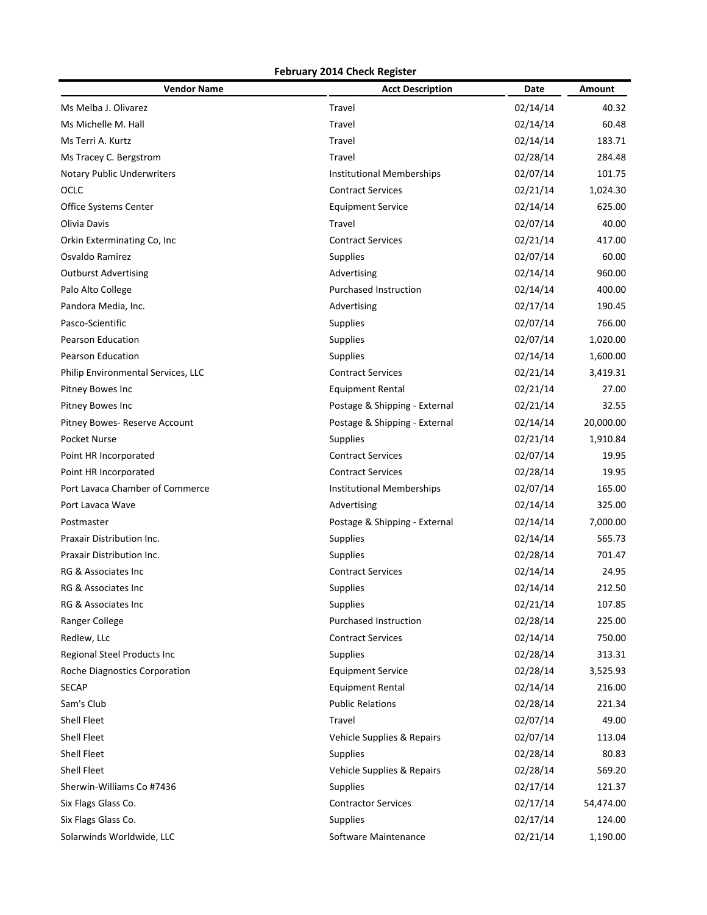| <b>Vendor Name</b>                 | <b>Acct Description</b>          | Date     | <b>Amount</b> |
|------------------------------------|----------------------------------|----------|---------------|
| Ms Melba J. Olivarez               | Travel                           | 02/14/14 | 40.32         |
| Ms Michelle M. Hall                | Travel                           | 02/14/14 | 60.48         |
| Ms Terri A. Kurtz                  | Travel                           | 02/14/14 | 183.71        |
| Ms Tracey C. Bergstrom             | Travel                           | 02/28/14 | 284.48        |
| Notary Public Underwriters         | <b>Institutional Memberships</b> | 02/07/14 | 101.75        |
| OCLC                               | <b>Contract Services</b>         | 02/21/14 | 1,024.30      |
| Office Systems Center              | <b>Equipment Service</b>         | 02/14/14 | 625.00        |
| Olivia Davis                       | Travel                           | 02/07/14 | 40.00         |
| Orkin Exterminating Co, Inc.       | <b>Contract Services</b>         | 02/21/14 | 417.00        |
| Osvaldo Ramirez                    | <b>Supplies</b>                  | 02/07/14 | 60.00         |
| <b>Outburst Advertising</b>        | Advertising                      | 02/14/14 | 960.00        |
| Palo Alto College                  | <b>Purchased Instruction</b>     | 02/14/14 | 400.00        |
| Pandora Media, Inc.                | Advertising                      | 02/17/14 | 190.45        |
| Pasco-Scientific                   | <b>Supplies</b>                  | 02/07/14 | 766.00        |
| <b>Pearson Education</b>           | Supplies                         | 02/07/14 | 1,020.00      |
| <b>Pearson Education</b>           | Supplies                         | 02/14/14 | 1,600.00      |
| Philip Environmental Services, LLC | <b>Contract Services</b>         | 02/21/14 | 3,419.31      |
| Pitney Bowes Inc                   | <b>Equipment Rental</b>          | 02/21/14 | 27.00         |
| Pitney Bowes Inc                   | Postage & Shipping - External    | 02/21/14 | 32.55         |
| Pitney Bowes- Reserve Account      | Postage & Shipping - External    | 02/14/14 | 20,000.00     |
| Pocket Nurse                       | Supplies                         | 02/21/14 | 1,910.84      |
| Point HR Incorporated              | <b>Contract Services</b>         | 02/07/14 | 19.95         |
| Point HR Incorporated              | <b>Contract Services</b>         | 02/28/14 | 19.95         |
| Port Lavaca Chamber of Commerce    | Institutional Memberships        | 02/07/14 | 165.00        |
| Port Lavaca Wave                   | Advertising                      | 02/14/14 | 325.00        |
| Postmaster                         | Postage & Shipping - External    | 02/14/14 | 7,000.00      |
| Praxair Distribution Inc.          | <b>Supplies</b>                  | 02/14/14 | 565.73        |
| Praxair Distribution Inc.          | <b>Supplies</b>                  | 02/28/14 | 701.47        |
| RG & Associates Inc                | <b>Contract Services</b>         | 02/14/14 | 24.95         |
| RG & Associates Inc                | Supplies                         | 02/14/14 | 212.50        |
| RG & Associates Inc                | <b>Supplies</b>                  | 02/21/14 | 107.85        |
| Ranger College                     | Purchased Instruction            | 02/28/14 | 225.00        |
| Redlew, LLc                        | <b>Contract Services</b>         | 02/14/14 | 750.00        |
| Regional Steel Products Inc        | Supplies                         | 02/28/14 | 313.31        |
| Roche Diagnostics Corporation      | <b>Equipment Service</b>         | 02/28/14 | 3,525.93      |
| <b>SECAP</b>                       | <b>Equipment Rental</b>          | 02/14/14 | 216.00        |
| Sam's Club                         | <b>Public Relations</b>          | 02/28/14 | 221.34        |
| Shell Fleet                        | Travel                           | 02/07/14 | 49.00         |
| <b>Shell Fleet</b>                 | Vehicle Supplies & Repairs       | 02/07/14 | 113.04        |
| <b>Shell Fleet</b>                 | <b>Supplies</b>                  | 02/28/14 | 80.83         |
| <b>Shell Fleet</b>                 | Vehicle Supplies & Repairs       | 02/28/14 | 569.20        |
| Sherwin-Williams Co #7436          | Supplies                         | 02/17/14 | 121.37        |
| Six Flags Glass Co.                | <b>Contractor Services</b>       | 02/17/14 | 54,474.00     |
| Six Flags Glass Co.                | Supplies                         | 02/17/14 | 124.00        |
| Solarwinds Worldwide, LLC          | Software Maintenance             | 02/21/14 | 1,190.00      |
|                                    |                                  |          |               |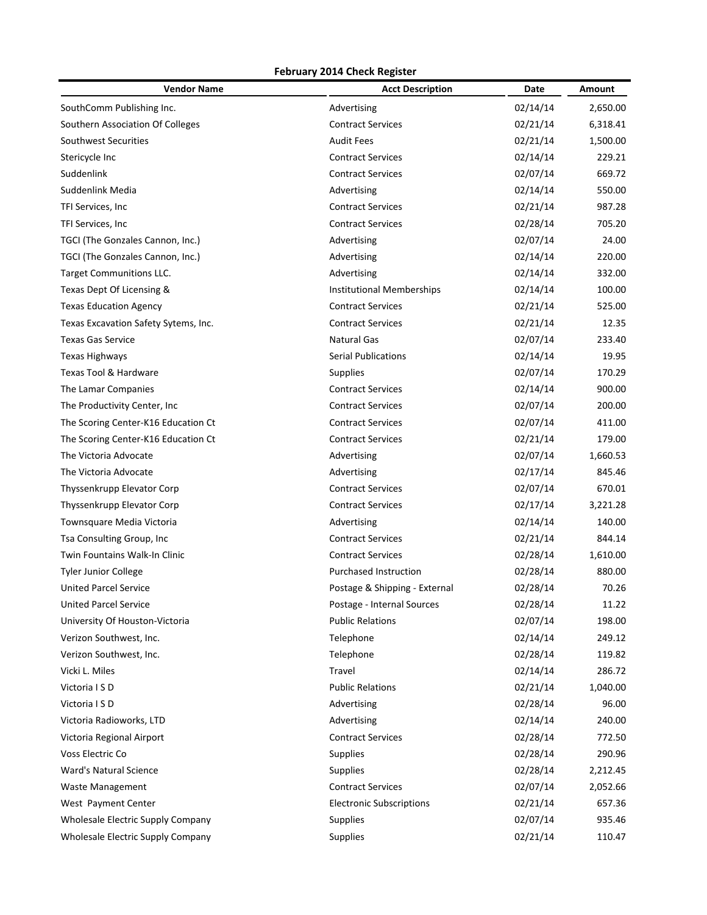| <b>Vendor Name</b>                   | <b>Acct Description</b>          | Date     | Amount   |
|--------------------------------------|----------------------------------|----------|----------|
| SouthComm Publishing Inc.            | Advertising                      | 02/14/14 | 2,650.00 |
| Southern Association Of Colleges     | <b>Contract Services</b>         | 02/21/14 | 6,318.41 |
| Southwest Securities                 | <b>Audit Fees</b>                | 02/21/14 | 1,500.00 |
| Stericycle Inc                       | <b>Contract Services</b>         | 02/14/14 | 229.21   |
| Suddenlink                           | <b>Contract Services</b>         | 02/07/14 | 669.72   |
| Suddenlink Media                     | Advertising                      | 02/14/14 | 550.00   |
| TFI Services, Inc.                   | <b>Contract Services</b>         | 02/21/14 | 987.28   |
| TFI Services, Inc                    | <b>Contract Services</b>         | 02/28/14 | 705.20   |
| TGCI (The Gonzales Cannon, Inc.)     | Advertising                      | 02/07/14 | 24.00    |
| TGCI (The Gonzales Cannon, Inc.)     | Advertising                      | 02/14/14 | 220.00   |
| Target Communitions LLC.             | Advertising                      | 02/14/14 | 332.00   |
| Texas Dept Of Licensing &            | <b>Institutional Memberships</b> | 02/14/14 | 100.00   |
| <b>Texas Education Agency</b>        | <b>Contract Services</b>         | 02/21/14 | 525.00   |
| Texas Excavation Safety Sytems, Inc. | <b>Contract Services</b>         | 02/21/14 | 12.35    |
| <b>Texas Gas Service</b>             | <b>Natural Gas</b>               | 02/07/14 | 233.40   |
| <b>Texas Highways</b>                | <b>Serial Publications</b>       | 02/14/14 | 19.95    |
| Texas Tool & Hardware                | <b>Supplies</b>                  | 02/07/14 | 170.29   |
| The Lamar Companies                  | <b>Contract Services</b>         | 02/14/14 | 900.00   |
| The Productivity Center, Inc.        | <b>Contract Services</b>         | 02/07/14 | 200.00   |
| The Scoring Center-K16 Education Ct  | <b>Contract Services</b>         | 02/07/14 | 411.00   |
| The Scoring Center-K16 Education Ct  | <b>Contract Services</b>         | 02/21/14 | 179.00   |
| The Victoria Advocate                | Advertising                      | 02/07/14 | 1,660.53 |
| The Victoria Advocate                | Advertising                      | 02/17/14 | 845.46   |
| Thyssenkrupp Elevator Corp           | <b>Contract Services</b>         | 02/07/14 | 670.01   |
| Thyssenkrupp Elevator Corp           | <b>Contract Services</b>         | 02/17/14 | 3,221.28 |
| Townsquare Media Victoria            | Advertising                      | 02/14/14 | 140.00   |
| Tsa Consulting Group, Inc            | <b>Contract Services</b>         | 02/21/14 | 844.14   |
| Twin Fountains Walk-In Clinic        | <b>Contract Services</b>         | 02/28/14 | 1,610.00 |
| <b>Tyler Junior College</b>          | <b>Purchased Instruction</b>     | 02/28/14 | 880.00   |
| <b>United Parcel Service</b>         | Postage & Shipping - External    | 02/28/14 | 70.26    |
| <b>United Parcel Service</b>         | Postage - Internal Sources       | 02/28/14 | 11.22    |
| University Of Houston-Victoria       | <b>Public Relations</b>          | 02/07/14 | 198.00   |
| Verizon Southwest, Inc.              | Telephone                        | 02/14/14 | 249.12   |
| Verizon Southwest, Inc.              | Telephone                        | 02/28/14 | 119.82   |
| Vicki L. Miles                       | Travel                           | 02/14/14 | 286.72   |
| Victoria I S D                       | <b>Public Relations</b>          | 02/21/14 | 1,040.00 |
| Victoria I S D                       | Advertising                      | 02/28/14 | 96.00    |
| Victoria Radioworks, LTD             | Advertising                      | 02/14/14 | 240.00   |
| Victoria Regional Airport            | <b>Contract Services</b>         | 02/28/14 | 772.50   |
| Voss Electric Co                     | <b>Supplies</b>                  | 02/28/14 | 290.96   |
| Ward's Natural Science               | <b>Supplies</b>                  | 02/28/14 | 2,212.45 |
| <b>Waste Management</b>              | <b>Contract Services</b>         | 02/07/14 | 2,052.66 |
| West Payment Center                  | <b>Electronic Subscriptions</b>  | 02/21/14 | 657.36   |
| Wholesale Electric Supply Company    | <b>Supplies</b>                  | 02/07/14 | 935.46   |
| Wholesale Electric Supply Company    | Supplies                         | 02/21/14 | 110.47   |